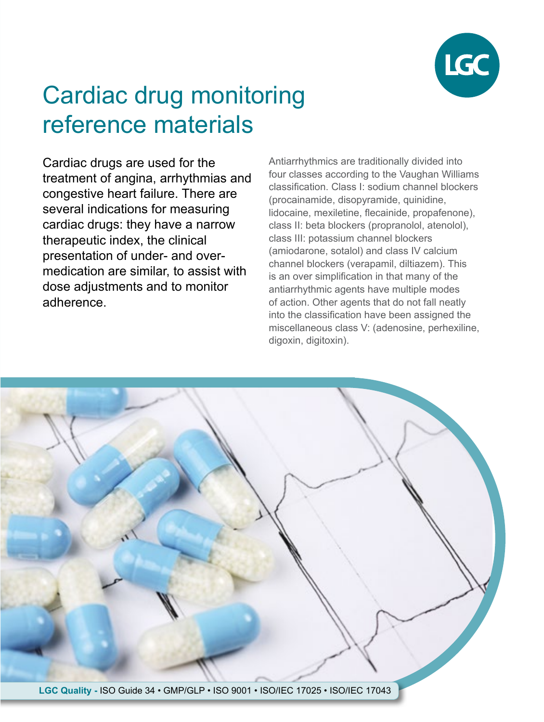

# Cardiac drug monitoring reference materials

Cardiac drugs are used for the treatment of angina, arrhythmias and congestive heart failure. There are several indications for measuring cardiac drugs: they have a narrow therapeutic index, the clinical presentation of under- and overmedication are similar, to assist with dose adjustments and to monitor adherence.

Antiarrhythmics are traditionally divided into four classes according to the Vaughan Williams classification. Class I: sodium channel blockers (procainamide, disopyramide, quinidine, lidocaine, mexiletine, flecainide, propafenone), class II: beta blockers (propranolol, atenolol), class III: potassium channel blockers (amiodarone, sotalol) and class IV calcium channel blockers (verapamil, diltiazem). This is an over simplification in that many of the antiarrhythmic agents have multiple modes of action. Other agents that do not fall neatly into the classification have been assigned the miscellaneous class V: (adenosine, perhexiline, digoxin, digitoxin).



**LGC Quality -** ISO Guide 34 • GMP/GLP • ISO 9001 • ISO/IEC 17025 • ISO/IEC 17043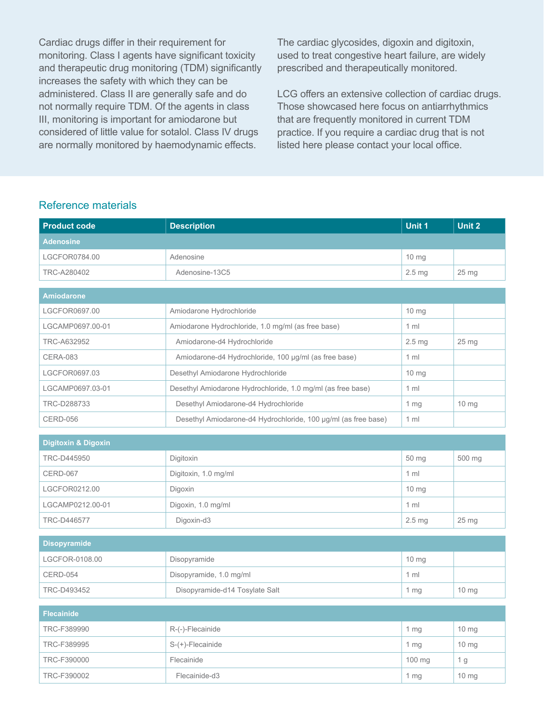Cardiac drugs differ in their requirement for monitoring. Class I agents have significant toxicity and therapeutic drug monitoring (TDM) significantly increases the safety with which they can be administered. Class II are generally safe and do not normally require TDM. Of the agents in class III, monitoring is important for amiodarone but considered of little value for sotalol. Class IV drugs are normally monitored by haemodynamic effects.

The cardiac glycosides, digoxin and digitoxin, used to treat congestive heart failure, are widely prescribed and therapeutically monitored.

LCG offers an extensive collection of cardiac drugs. Those showcased here focus on antiarrhythmics that are frequently monitored in current TDM practice. If you require a cardiac drug that is not listed here please contact your local office.

#### Reference materials

| <b>Product code</b>            | <b>Description</b>                                             | Unit 1            | Unit 2           |
|--------------------------------|----------------------------------------------------------------|-------------------|------------------|
| <b>Adenosine</b>               |                                                                |                   |                  |
| LGCFOR0784.00                  | Adenosine                                                      | 10 mg             |                  |
| TRC-A280402                    | Adenosine-13C5                                                 | 2.5 <sub>mg</sub> | 25 <sub>mg</sub> |
| <b>Amiodarone</b>              |                                                                |                   |                  |
| LGCFOR0697.00                  | Amiodarone Hydrochloride                                       | 10 mg             |                  |
| LGCAMP0697.00-01               | Amiodarone Hydrochloride, 1.0 mg/ml (as free base)             | $1$ ml            |                  |
| TRC-A632952                    | Amiodarone-d4 Hydrochloride                                    | 2.5 <sub>mg</sub> | 25 mg            |
| <b>CERA-083</b>                | Amiodarone-d4 Hydrochloride, 100 µg/ml (as free base)          | $1$ ml            |                  |
| LGCFOR0697.03                  | Desethyl Amiodarone Hydrochloride                              | 10 mg             |                  |
| LGCAMP0697.03-01               | Desethyl Amiodarone Hydrochloride, 1.0 mg/ml (as free base)    | $1$ ml            |                  |
| TRC-D288733                    | Desethyl Amiodarone-d4 Hydrochloride                           | 1 <sub>mg</sub>   | 10 mg            |
| <b>CERD-056</b>                | Desethyl Amiodarone-d4 Hydrochloride, 100 µg/ml (as free base) | $1$ ml            |                  |
| <b>Digitoxin &amp; Digoxin</b> |                                                                |                   |                  |
|                                |                                                                |                   |                  |
| TRC-D445950                    | Digitoxin                                                      | 50 mg             | 500 mg           |
| <b>CERD-067</b>                | Digitoxin, 1.0 mg/ml                                           | $1$ ml            |                  |
| LGCFOR0212.00                  | Digoxin                                                        | $10 \text{ mg}$   |                  |
| LGCAMP0212.00-01               | Digoxin, 1.0 mg/ml                                             | $1$ ml            |                  |
| TRC-D446577                    | Digoxin-d3                                                     | 2.5 <sub>mg</sub> | $25$ mg          |
| <b>Disopyramide</b>            |                                                                |                   |                  |
| LGCFOR-0108.00                 | Disopyramide                                                   | 10 mg             |                  |
| <b>CERD-054</b>                | Disopyramide, 1.0 mg/ml                                        | $1$ ml            |                  |
| TRC-D493452                    | Disopyramide-d14 Tosylate Salt                                 | $1 \, mg$         | 10 mg            |
| <b>Flecainide</b>              |                                                                |                   |                  |
|                                |                                                                |                   |                  |
| TRC-F389990                    | R-(-)-Flecainide                                               | 1 mg              | 10 mg            |
| TRC-F389995                    | $S-(+)$ -Flecainide                                            | 1 <sub>mg</sub>   | $10 \, mg$       |
| TRC-F390000                    | Flecainide                                                     | 100 mg            | 1 g              |
| TRC-F390002                    | Flecainide-d3                                                  | 1 $mg$            | $10 \, mg$       |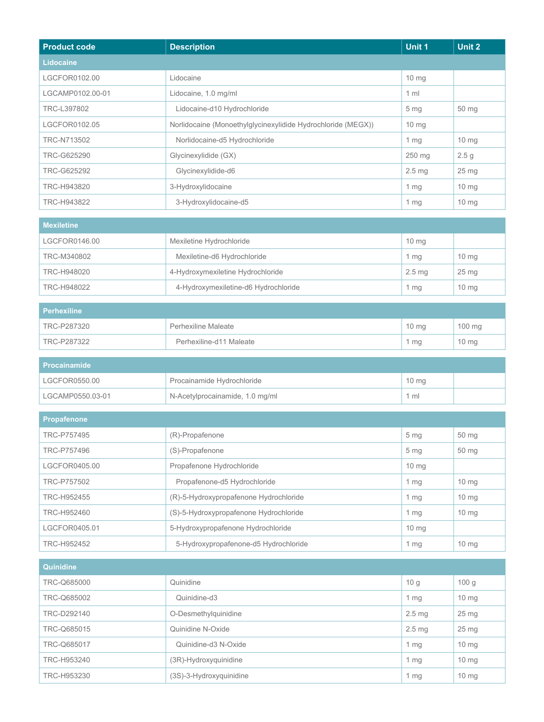| <b>Product code</b>               | <b>Description</b>                                            | <b>Unit 1</b>     | Unit 2           |
|-----------------------------------|---------------------------------------------------------------|-------------------|------------------|
| Lidocaine                         |                                                               |                   |                  |
| LGCFOR0102.00                     | Lidocaine                                                     | 10 mg             |                  |
| LGCAMP0102.00-01                  | Lidocaine, 1.0 mg/ml                                          | $1 \text{ ml}$    |                  |
| TRC-L397802                       | Lidocaine-d10 Hydrochloride                                   | 5 <sub>mg</sub>   | 50 mg            |
| LGCFOR0102.05                     | Norlidocaine (Monoethylglycinexylidide Hydrochloride (MEGX))  | $10 \text{ mg}$   |                  |
| TRC-N713502                       | Norlidocaine-d5 Hydrochloride                                 | 1 <sub>mg</sub>   | 10 mg            |
| TRC-G625290                       | Glycinexylidide (GX)                                          | 250 mg            | 2.5 <sub>g</sub> |
| TRC-G625292                       | Glycinexylidide-d6                                            | 2.5 <sub>mg</sub> | 25 mg            |
| TRC-H943820                       | 3-Hydroxylidocaine                                            | 1 <sub>mg</sub>   | 10 mg            |
| TRC-H943822                       | 3-Hydroxylidocaine-d5                                         | 1 <sub>mg</sub>   | 10 mg            |
|                                   |                                                               |                   |                  |
| <b>Mexiletine</b>                 |                                                               |                   |                  |
| LGCFOR0146.00                     | Mexiletine Hydrochloride                                      | $10 \text{ mg}$   |                  |
| TRC-M340802                       | Mexiletine-d6 Hydrochloride                                   | 1 <sub>mg</sub>   | 10 mg            |
| TRC-H948020                       | 4-Hydroxymexiletine Hydrochloride                             | 2.5 mg            | 25 mg            |
| TRC-H948022                       | 4-Hydroxymexiletine-d6 Hydrochloride                          | $1 \, mg$         | 10 mg            |
| <b>Perhexiline</b>                |                                                               |                   |                  |
| TRC-P287320                       | Perhexiline Maleate                                           | 10 mg             | 100 mg           |
| TRC-P287322                       | Perhexiline-d11 Maleate                                       | 1 <sub>mg</sub>   | 10 mg            |
| Procainamide                      |                                                               |                   |                  |
|                                   |                                                               | 10 mg             |                  |
| LGCFOR0550.00<br>LGCAMP0550.03-01 | Procainamide Hydrochloride<br>N-Acetylprocainamide, 1.0 mg/ml |                   |                  |
|                                   |                                                               | $1 \text{ ml}$    |                  |
| <b>Propafenone</b>                |                                                               |                   |                  |
| TRC-P757495                       | (R)-Propafenone                                               | 5 mg              | 50 mg            |
| TRC-P757496                       | (S)-Propafenone                                               | 5 <sub>mg</sub>   | 50 mg            |
| LGCFOR0405.00                     | Propafenone Hydrochloride                                     | 10 mg             |                  |
| TRC-P757502                       | Propafenone-d5 Hydrochloride                                  | 1 <sub>mg</sub>   | 10 mg            |
| TRC-H952455                       | (R)-5-Hydroxypropafenone Hydrochloride                        | 1 <sub>mg</sub>   | 10 mg            |
| TRC-H952460                       | (S)-5-Hydroxypropafenone Hydrochloride                        | 1 <sub>mg</sub>   | 10 mg            |
| LGCFOR0405.01                     | 5-Hydroxypropafenone Hydrochloride                            | 10 mg             |                  |
| TRC-H952452                       | 5-Hydroxypropafenone-d5 Hydrochloride                         | 1 <sub>mg</sub>   | 10 mg            |
| Quinidine                         |                                                               |                   |                  |
| TRC-Q685000                       | Quinidine                                                     | 10 <sub>g</sub>   | 100 g            |
| TRC-Q685002                       | Quinidine-d3                                                  | 1 <sub>mg</sub>   | 10 mg            |
|                                   |                                                               |                   |                  |
| TRC-D292140<br>TRC-Q685015        | O-Desmethylquinidine<br>Quinidine N-Oxide                     | 2.5 <sub>mg</sub> | 25 mg            |
|                                   |                                                               | 2.5 <sub>mg</sub> | 25 mg            |
| TRC-Q685017                       | Quinidine-d3 N-Oxide                                          | 1 <sub>mg</sub>   | 10 mg            |
| TRC-H953240                       | (3R)-Hydroxyquinidine                                         | 1 <sub>mg</sub>   | 10 mg            |
| TRC-H953230                       | (3S)-3-Hydroxyquinidine                                       | 1 <sub>mg</sub>   | 10 mg            |